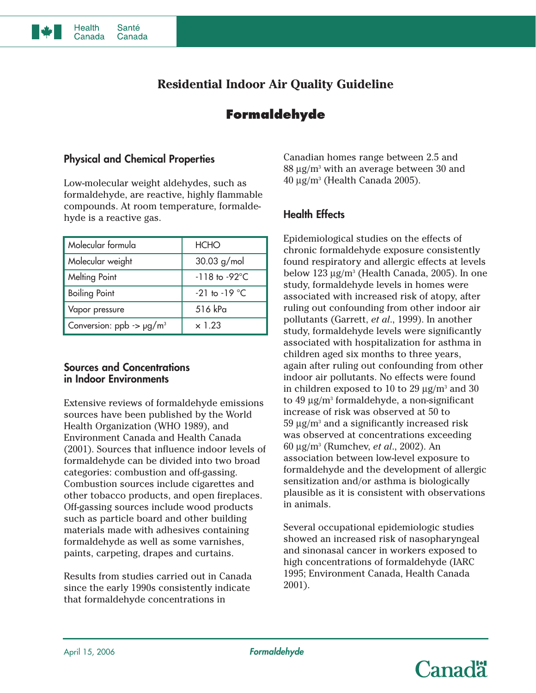

# **Formaldehyde**

## **Physical and Chemical Properties**

**Santé** 

Canada

**Health** 

Canada

Low-molecular weight aldehydes, such as formaldehyde, are reactive, highly flammable compounds. At room temperature, formaldehyde is a reactive gas.

| Molecular formula                    | <b>HCHO</b>               |
|--------------------------------------|---------------------------|
| Molecular weight                     | $30.03$ g/mol             |
| <b>Melting Point</b>                 | $-118$ to $-92^{\circ}$ C |
| <b>Boiling Point</b>                 | $-21$ to $-19$ °C         |
| Vapor pressure                       | 516 kPa                   |
| Conversion: $ppb \rightarrow pg/m^3$ | $\times$ 1.23             |

#### **Sources and Concentrations in Indoor Environments**

Extensive reviews of formaldehyde emissions sources have been published by the World Health Organization (WHO 1989), and Environment Canada and Health Canada (2001). Sources that influence indoor levels of formaldehyde can be divided into two broad categories: combustion and off-gassing. Combustion sources include cigarettes and other tobacco products, and open fireplaces. Off-gassing sources include wood products such as particle board and other building materials made with adhesives containing formaldehyde as well as some varnishes, paints, carpeting, drapes and curtains.

Results from studies carried out in Canada since the early 1990s consistently indicate that formaldehyde concentrations in

Canadian homes range between 2.5 and  $88 \mu$ g/m<sup>3</sup> with an average between 30 and  $40 \mu$ g/m<sup>3</sup> (Health Canada 2005).

# **Health Effects**

Epidemiological studies on the effects of chronic formaldehyde exposure consistently found respiratory and allergic effects at levels below  $123 \mu g/m^3$  (Health Canada, 2005). In one study, formaldehyde levels in homes were associated with increased risk of atopy, after ruling out confounding from other indoor air pollutants (Garrett, *et al*., 1999). In another study, formaldehyde levels were significantly associated with hospitalization for asthma in children aged six months to three years, again after ruling out confounding from other indoor air pollutants. No effects were found in children exposed to 10 to 29  $\mu$ g/m<sup>3</sup> and 30 to  $49 \mu g/m^3$  formaldehyde, a non-significant increase of risk was observed at 50 to  $59 \mu g/m^3$  and a significantly increased risk was observed at concentrations exceeding 60 µg/m3 (Rumchev, *et al*., 2002). An association between low-level exposure to formaldehyde and the development of allergic sensitization and/or asthma is biologically plausible as it is consistent with observations in animals.

Several occupational epidemiologic studies showed an increased risk of nasopharyngeal and sinonasal cancer in workers exposed to high concentrations of formaldehyde (IARC 1995; Environment Canada, Health Canada 2001).

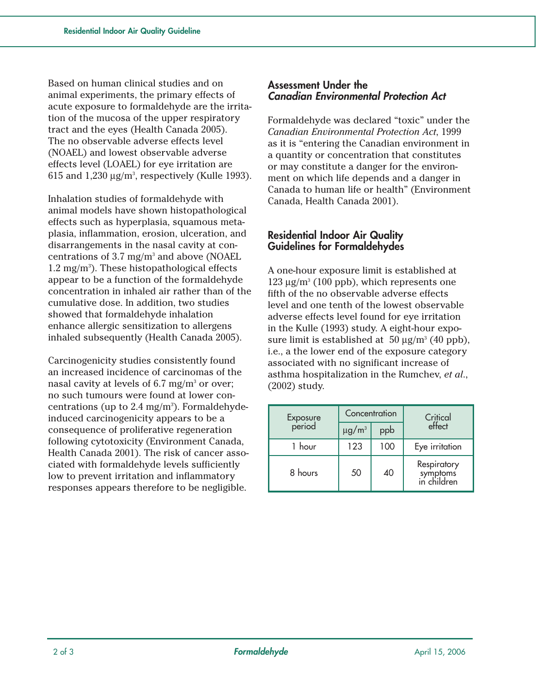Based on human clinical studies and on animal experiments, the primary effects of acute exposure to formaldehyde are the irritation of the mucosa of the upper respiratory tract and the eyes (Health Canada 2005). The no observable adverse effects level (NOAEL) and lowest observable adverse effects level (LOAEL) for eye irritation are 615 and  $1,230 \mu g/m^3$ , respectively (Kulle 1993).

Inhalation studies of formaldehyde with animal models have shown histopathological effects such as hyperplasia, squamous metaplasia, inflammation, erosion, ulceration, and disarrangements in the nasal cavity at concentrations of 3.7 mg/m3 and above (NOAEL  $1.2 \text{ mg/m}^3$ ). These histopathological effects appear to be a function of the formaldehyde concentration in inhaled air rather than of the cumulative dose. In addition, two studies showed that formaldehyde inhalation enhance allergic sensitization to allergens inhaled subsequently (Health Canada 2005).

Carcinogenicity studies consistently found an increased incidence of carcinomas of the nasal cavity at levels of  $6.7 \text{ mg/m}^3$  or over; no such tumours were found at lower concentrations (up to  $2.4 \text{ mg/m}^3$ ). Formaldehydeinduced carcinogenicity appears to be a consequence of proliferative regeneration following cytotoxicity (Environment Canada, Health Canada 2001). The risk of cancer associated with formaldehyde levels sufficiently low to prevent irritation and inflammatory responses appears therefore to be negligible.

#### **Assessment Under the Canadian Environmental Protection Act**

Formaldehyde was declared "toxic" under the *Canadian Environmental Protection Act*, 1999 as it is "entering the Canadian environment in a quantity or concentration that constitutes or may constitute a danger for the environment on which life depends and a danger in Canada to human life or health" (Environment Canada, Health Canada 2001).

# **Residential Indoor Air Quality Guidelines for Formaldehydes**

A one-hour exposure limit is established at  $123 \mu g/m^3$  (100 ppb), which represents one fifth of the no observable adverse effects level and one tenth of the lowest observable adverse effects level found for eye irritation in the Kulle (1993) study. A eight-hour exposure limit is established at  $50 \mu g/m^3$  (40 ppb), i.e., a the lower end of the exposure category associated with no significant increase of asthma hospitalization in the Rumchev, *et al*., (2002) study.

| Exposure<br>period | Concentration          |     | Critical                               |
|--------------------|------------------------|-----|----------------------------------------|
|                    | $\mu$ g/m <sup>3</sup> | ppb | effect                                 |
| 1 hour             | 123                    | 100 | Eye irritation                         |
| 8 hours            | 50                     | 40  | Respiratory<br>symptoms<br>in children |